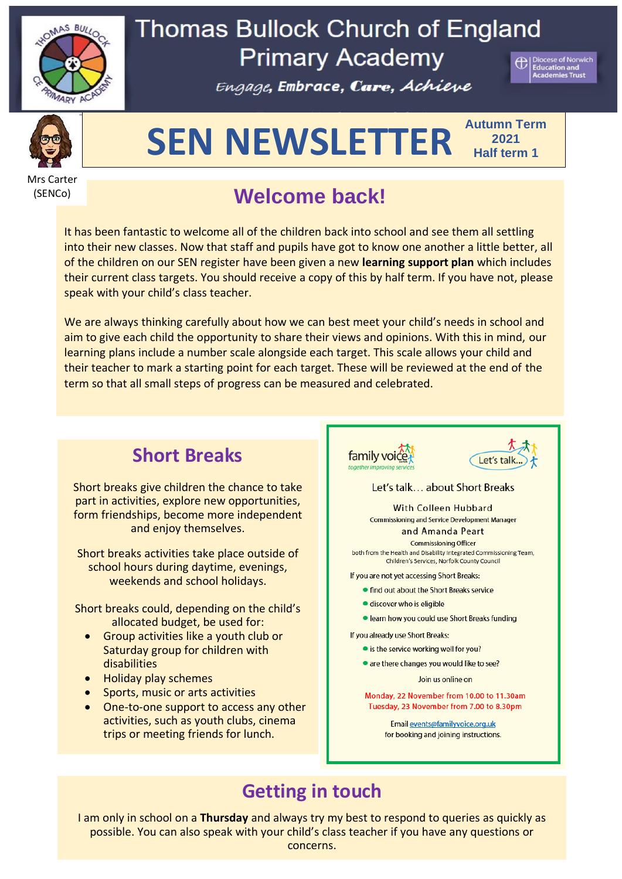

# **Thomas Bullock Church of England Primary Academy**

Engage, Embrace, Care, Achieve





# **SEN NEWSLETTER Autumn Term**

**2021 Half term 1**

Mrs Carter (SENCo)

# **Welcome back!**

It has been fantastic to welcome all of the children back into school and see them all settling into their new classes. Now that staff and pupils have got to know one another a little better, all of the children on our SEN register have been given a new **learning support plan** which includes their current class targets. You should receive a copy of this by half term. If you have not, please speak with your child's class teacher.

We are always thinking carefully about how we can best meet your child's needs in school and aim to give each child the opportunity to share their views and opinions. With this in mind, our learning plans include a number scale alongside each target. This scale allows your child and their teacher to mark a starting point for each target. These will be reviewed at the end of the term so that all small steps of progress can be measured and celebrated.

## **Short Breaks**

Short breaks give children the chance to take part in activities, explore new opportunities, form friendships, become more independent and enjoy themselves.

Short breaks activities take place outside of school hours during daytime, evenings, weekends and school holidays.

Short breaks could, depending on the child's allocated budget, be used for:

- Group activities like a youth club or Saturday group for children with disabilities
- Holiday play schemes
- Sports, music or arts activities
- One-to-one support to access any other activities, such as youth clubs, cinema trips or meeting friends for lunch.





#### Let's talk... about Short Breaks

**With Colleen Hubbard** Commissioning and Service Development Manager

and Amanda Peart

**Commissioning Officer** both from the Health and Disability Integrated Commissioning Team, Children's Services, Norfolk County Council

If you are not yet accessing Short Breaks:

- find out about the Short Breaks service
- · discover who is eligible
- · learn how you could use Short Breaks funding

If you already use Short Breaks:

- is the service working well for you?
- are there changes you would like to see?

Join us online on

Monday, 22 November from 10.00 to 11.30am Tuesday, 23 November from 7.00 to 8.30pm

> Email events@familyvoice.org.uk for booking and joining instructions.

## **Getting in touch**

I am only in school on a **Thursday** and always try my best to respond to queries as quickly as possible. You can also speak with your child's class teacher if you have any questions or concerns.